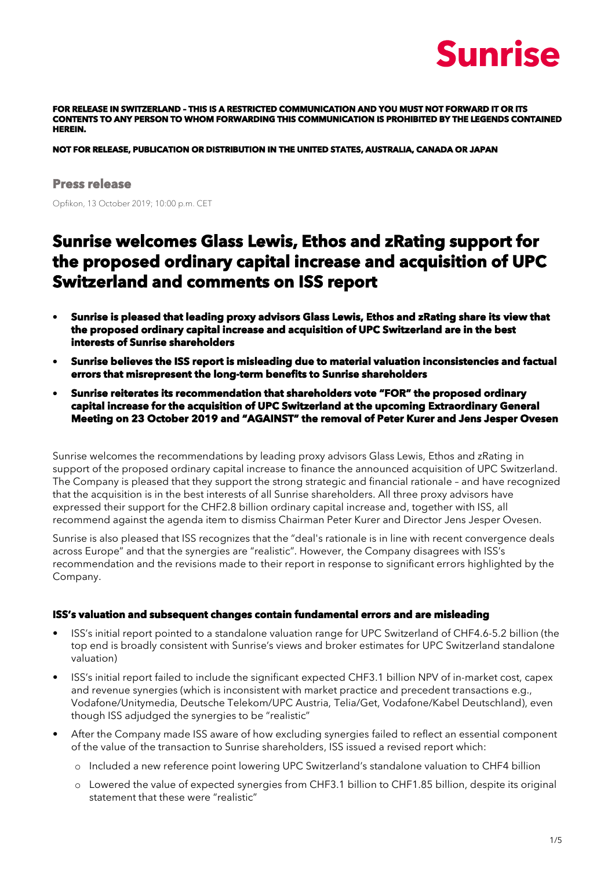## Sunrise

**FOR RELEASE IN SWITZERLAND – THIS IS A RESTRICTED COMMUNICATION AND YOU MUST NOT FORWARD IT OR ITS CONTENTS TO ANY PERSON TO WHOM FORWARDING THIS COMMUNICATION IS PROHIBITED BY THE LEGENDS CONTAINED HEREIN.** 

**NOT FOR RELEASE, PUBLICATION OR DISTRIBUTION IN THE UNITED STATES, AUSTRALIA, CANADA OR JAPAN** 

#### **Press release**

Opfikon, 13 October 2019; 10:00 p.m. CET

### **Sunrise welcomes Glass Lewis, Ethos and zRating support for the proposed ordinary capital increase and acquisition of UPC Switzerland and comments on ISS report**

- **Sunrise is pleased that leading proxy advisors Glass Lewis, Ethos and zRating share its view that the proposed ordinary capital increase and acquisition of UPC Switzerland are in the best interests of Sunrise shareholders**
- **Sunrise believes the ISS report is misleading due to material valuation inconsistencies and factual errors that misrepresent the long-term benefits to Sunrise shareholders**
- **Sunrise reiterates its recommendation that shareholders vote "FOR" the proposed ordinary capital increase for the acquisition of UPC Switzerland at the upcoming Extraordinary General Meeting on 23 October 2019 and "AGAINST" the removal of Peter Kurer and Jens Jesper Ovesen**

Sunrise welcomes the recommendations by leading proxy advisors Glass Lewis, Ethos and zRating in support of the proposed ordinary capital increase to finance the announced acquisition of UPC Switzerland. The Company is pleased that they support the strong strategic and financial rationale – and have recognized that the acquisition is in the best interests of all Sunrise shareholders. All three proxy advisors have expressed their support for the CHF2.8 billion ordinary capital increase and, together with ISS, all recommend against the agenda item to dismiss Chairman Peter Kurer and Director Jens Jesper Ovesen.

Sunrise is also pleased that ISS recognizes that the "deal's rationale is in line with recent convergence deals across Europe" and that the synergies are "realistic". However, the Company disagrees with ISS's recommendation and the revisions made to their report in response to significant errors highlighted by the Company.

#### **ISS's valuation and subsequent changes contain fundamental errors and are misleading**

- ISS's initial report pointed to a standalone valuation range for UPC Switzerland of CHF4.6-5.2 billion (the top end is broadly consistent with Sunrise's views and broker estimates for UPC Switzerland standalone valuation)
- ISS's initial report failed to include the significant expected CHF3.1 billion NPV of in-market cost, capex and revenue synergies (which is inconsistent with market practice and precedent transactions e.g., Vodafone/Unitymedia, Deutsche Telekom/UPC Austria, Telia/Get, Vodafone/Kabel Deutschland), even though ISS adjudged the synergies to be "realistic"
- After the Company made ISS aware of how excluding synergies failed to reflect an essential component of the value of the transaction to Sunrise shareholders, ISS issued a revised report which:
	- o Included a new reference point lowering UPC Switzerland's standalone valuation to CHF4 billion
	- o Lowered the value of expected synergies from CHF3.1 billion to CHF1.85 billion, despite its original statement that these were "realistic"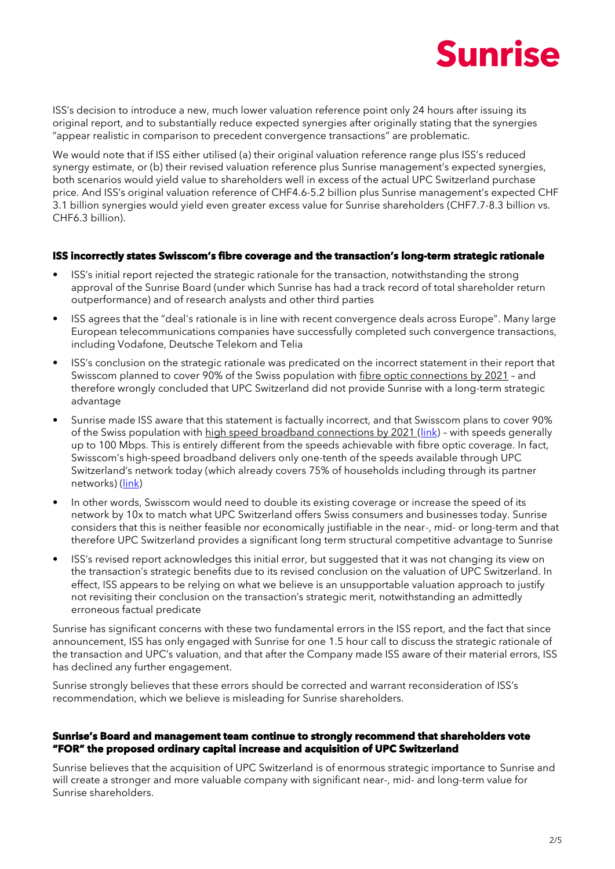

ISS's decision to introduce a new, much lower valuation reference point only 24 hours after issuing its original report, and to substantially reduce expected synergies after originally stating that the synergies "appear realistic in comparison to precedent convergence transactions" are problematic.

We would note that if ISS either utilised (a) their original valuation reference range plus ISS's reduced synergy estimate, or (b) their revised valuation reference plus Sunrise management's expected synergies, both scenarios would yield value to shareholders well in excess of the actual UPC Switzerland purchase price. And ISS's original valuation reference of CHF4.6-5.2 billion plus Sunrise management's expected CHF 3.1 billion synergies would yield even greater excess value for Sunrise shareholders (CHF7.7-8.3 billion vs. CHF6.3 billion).

#### **ISS incorrectly states Swisscom's fibre coverage and the transaction's long-term strategic rationale**

- ISS's initial report rejected the strategic rationale for the transaction, notwithstanding the strong approval of the Sunrise Board (under which Sunrise has had a track record of total shareholder return outperformance) and of research analysts and other third parties
- ISS agrees that the "deal's rationale is in line with recent convergence deals across Europe". Many large European telecommunications companies have successfully completed such convergence transactions, including Vodafone, Deutsche Telekom and Telia
- ISS's conclusion on the strategic rationale was predicated on the incorrect statement in their report that Swisscom planned to cover 90% of the Swiss population with fibre optic connections by 2021 – and therefore wrongly concluded that UPC Switzerland did not provide Sunrise with a long-term strategic advantage
- Sunrise made ISS aware that this statement is factually incorrect, and that Swisscom plans to cover 90% of the Swiss population with high speed broadband connections by 2021 [\(link\)](https://www.swisscom.ch/en/about/company/portrait/network/fibre-optics-network-expansion-map.html) - with speeds generally up to 100 Mbps. This is entirely different from the speeds achievable with fibre optic coverage. In fact, Swisscom's high-speed broadband delivers only one-tenth of the speeds available through UPC Switzerland's network today (which already covers 75% of households including through its partner networks) [\(link\)](https://www.swisscom.ch/en/about/company/portrait/network/fibre-optics-network-expansion-map.html)
- In other words, Swisscom would need to double its existing coverage or increase the speed of its network by 10x to match what UPC Switzerland offers Swiss consumers and businesses today. Sunrise considers that this is neither feasible nor economically justifiable in the near-, mid- or long-term and that therefore UPC Switzerland provides a significant long term structural competitive advantage to Sunrise
- ISS's revised report acknowledges this initial error, but suggested that it was not changing its view on the transaction's strategic benefits due to its revised conclusion on the valuation of UPC Switzerland. In effect, ISS appears to be relying on what we believe is an unsupportable valuation approach to justify not revisiting their conclusion on the transaction's strategic merit, notwithstanding an admittedly erroneous factual predicate

Sunrise has significant concerns with these two fundamental errors in the ISS report, and the fact that since announcement, ISS has only engaged with Sunrise for one 1.5 hour call to discuss the strategic rationale of the transaction and UPC's valuation, and that after the Company made ISS aware of their material errors, ISS has declined any further engagement.

Sunrise strongly believes that these errors should be corrected and warrant reconsideration of ISS's recommendation, which we believe is misleading for Sunrise shareholders.

#### **Sunrise's Board and management team continue to strongly recommend that shareholders vote "FOR" the proposed ordinary capital increase and acquisition of UPC Switzerland**

Sunrise believes that the acquisition of UPC Switzerland is of enormous strategic importance to Sunrise and will create a stronger and more valuable company with significant near-, mid- and long-term value for Sunrise shareholders.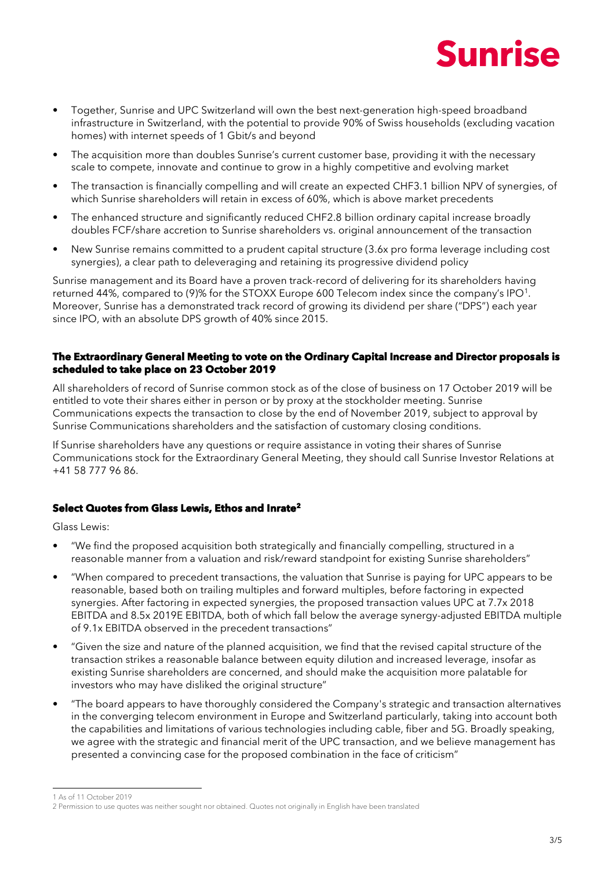

- Together, Sunrise and UPC Switzerland will own the best next-generation high-speed broadband infrastructure in Switzerland, with the potential to provide 90% of Swiss households (excluding vacation homes) with internet speeds of 1 Gbit/s and beyond
- The acquisition more than doubles Sunrise's current customer base, providing it with the necessary scale to compete, innovate and continue to grow in a highly competitive and evolving market
- The transaction is financially compelling and will create an expected CHF3.1 billion NPV of synergies, of which Sunrise shareholders will retain in excess of 60%, which is above market precedents
- The enhanced structure and significantly reduced CHF2.8 billion ordinary capital increase broadly doubles FCF/share accretion to Sunrise shareholders vs. original announcement of the transaction
- New Sunrise remains committed to a prudent capital structure (3.6x pro forma leverage including cost synergies), a clear path to deleveraging and retaining its progressive dividend policy

Sunrise management and its Board have a proven track-record of delivering for its shareholders having returned 44%, compared to (9)% for the STOXX Europe 600 Telecom index since the company's IPO<sup>1</sup>. Moreover, Sunrise has a demonstrated track record of growing its dividend per share ("DPS") each year since IPO, with an absolute DPS growth of 40% since 2015.

#### **The Extraordinary General Meeting to vote on the Ordinary Capital Increase and Director proposals is scheduled to take place on 23 October 2019**

All shareholders of record of Sunrise common stock as of the close of business on 17 October 2019 will be entitled to vote their shares either in person or by proxy at the stockholder meeting. Sunrise Communications expects the transaction to close by the end of November 2019, subject to approval by Sunrise Communications shareholders and the satisfaction of customary closing conditions.

If Sunrise shareholders have any questions or require assistance in voting their shares of Sunrise Communications stock for the Extraordinary General Meeting, they should call Sunrise Investor Relations at +41 58 777 96 86.

#### **Select Quotes from Glass Lewis, Ethos and Inrate<sup>2</sup>**

Glass Lewis:

- "We find the proposed acquisition both strategically and financially compelling, structured in a reasonable manner from a valuation and risk/reward standpoint for existing Sunrise shareholders"
- "When compared to precedent transactions, the valuation that Sunrise is paying for UPC appears to be reasonable, based both on trailing multiples and forward multiples, before factoring in expected synergies. After factoring in expected synergies, the proposed transaction values UPC at 7.7x 2018 EBITDA and 8.5x 2019E EBITDA, both of which fall below the average synergy-adjusted EBITDA multiple of 9.1x EBITDA observed in the precedent transactions"
- "Given the size and nature of the planned acquisition, we find that the revised capital structure of the transaction strikes a reasonable balance between equity dilution and increased leverage, insofar as existing Sunrise shareholders are concerned, and should make the acquisition more palatable for investors who may have disliked the original structure"
- "The board appears to have thoroughly considered the Company's strategic and transaction alternatives in the converging telecom environment in Europe and Switzerland particularly, taking into account both the capabilities and limitations of various technologies including cable, fiber and 5G. Broadly speaking, we agree with the strategic and financial merit of the UPC transaction, and we believe management has presented a convincing case for the proposed combination in the face of criticism"

-1 As of 11 October 2019

<sup>2</sup> Permission to use quotes was neither sought nor obtained. Quotes not originally in English have been translated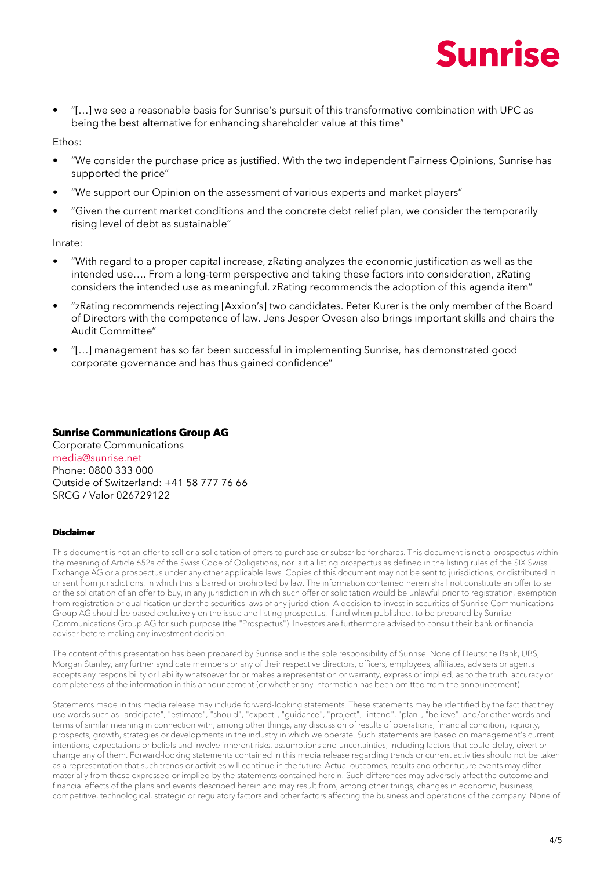

• "[…] we see a reasonable basis for Sunrise's pursuit of this transformative combination with UPC as being the best alternative for enhancing shareholder value at this time"

Ethos:

- "We consider the purchase price as justified. With the two independent Fairness Opinions, Sunrise has supported the price"
- "We support our Opinion on the assessment of various experts and market players"
- "Given the current market conditions and the concrete debt relief plan, we consider the temporarily rising level of debt as sustainable"

Inrate:

- "With regard to a proper capital increase, zRating analyzes the economic justification as well as the intended use…. From a long-term perspective and taking these factors into consideration, zRating considers the intended use as meaningful. zRating recommends the adoption of this agenda item"
- "zRating recommends rejecting [Axxion's] two candidates. Peter Kurer is the only member of the Board of Directors with the competence of law. Jens Jesper Ovesen also brings important skills and chairs the Audit Committee"
- "[…] management has so far been successful in implementing Sunrise, has demonstrated good corporate governance and has thus gained confidence"

#### **Sunrise Communications Group AG**

Corporate Communications [media@sunrise.net](mailto:media@sunrise.net) Phone: 0800 333 000 Outside of Switzerland: +41 58 777 76 66 SRCG / Valor 026729122

#### **Disclaimer**

This document is not an offer to sell or a solicitation of offers to purchase or subscribe for shares. This document is not a prospectus within the meaning of Article 652a of the Swiss Code of Obligations, nor is it a listing prospectus as defined in the listing rules of the SIX Swiss Exchange AG or a prospectus under any other applicable laws. Copies of this document may not be sent to jurisdictions, or distributed in or sent from jurisdictions, in which this is barred or prohibited by law. The information contained herein shall not constitute an offer to sell or the solicitation of an offer to buy, in any jurisdiction in which such offer or solicitation would be unlawful prior to registration, exemption from registration or qualification under the securities laws of any jurisdiction. A decision to invest in securities of Sunrise Communications Group AG should be based exclusively on the issue and listing prospectus, if and when published, to be prepared by Sunrise Communications Group AG for such purpose (the "Prospectus"). Investors are furthermore advised to consult their bank or financial adviser before making any investment decision.

The content of this presentation has been prepared by Sunrise and is the sole responsibility of Sunrise. None of Deutsche Bank, UBS, Morgan Stanley, any further syndicate members or any of their respective directors, officers, employees, affiliates, advisers or agents accepts any responsibility or liability whatsoever for or makes a representation or warranty, express or implied, as to the truth, accuracy or completeness of the information in this announcement (or whether any information has been omitted from the announcement).

Statements made in this media release may include forward-looking statements. These statements may be identified by the fact that they use words such as "anticipate", "estimate", "should", "expect", "guidance", "project", "intend", "plan", "believe", and/or other words and terms of similar meaning in connection with, among other things, any discussion of results of operations, financial condition, liquidity, prospects, growth, strategies or developments in the industry in which we operate. Such statements are based on management's current intentions, expectations or beliefs and involve inherent risks, assumptions and uncertainties, including factors that could delay, divert or change any of them. Forward-looking statements contained in this media release regarding trends or current activities should not be taken as a representation that such trends or activities will continue in the future. Actual outcomes, results and other future events may differ materially from those expressed or implied by the statements contained herein. Such differences may adversely affect the outcome and financial effects of the plans and events described herein and may result from, among other things, changes in economic, business, competitive, technological, strategic or regulatory factors and other factors affecting the business and operations of the company. None of